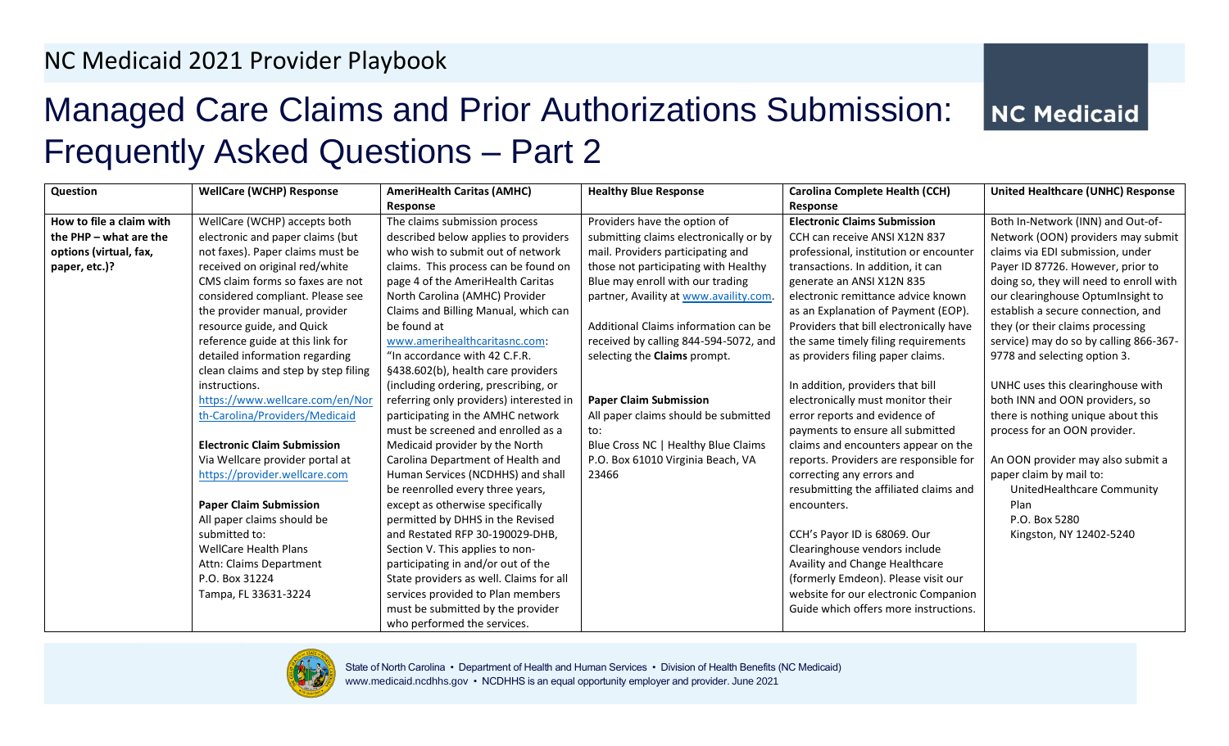## Managed Care Claims and Prior Authorizations Submission: Frequently Asked Questions – Part 2

**NC Medicaid** 

| Question                 | <b>WellCare (WCHP) Response</b>      | <b>AmeriHealth Caritas (AMHC)</b>       | <b>Healthy Blue Response</b>           | <b>Carolina Complete Health (CCH)</b>   | <b>United Healthcare (UNHC) Response</b> |
|--------------------------|--------------------------------------|-----------------------------------------|----------------------------------------|-----------------------------------------|------------------------------------------|
|                          |                                      | Response                                |                                        | Response                                |                                          |
| How to file a claim with | WellCare (WCHP) accepts both         | The claims submission process           | Providers have the option of           | <b>Electronic Claims Submission</b>     | Both In-Network (INN) and Out-of-        |
| the PHP - what are the   | electronic and paper claims (but     | described below applies to providers    | submitting claims electronically or by | CCH can receive ANSI X12N 837           | Network (OON) providers may submit       |
| options (virtual, fax,   | not faxes). Paper claims must be     | who wish to submit out of network       | mail. Providers participating and      | professional, institution or encounter  | claims via EDI submission, under         |
| paper, etc.)?            | received on original red/white       | claims. This process can be found on    | those not participating with Healthy   | transactions. In addition, it can       | Payer ID 87726. However, prior to        |
|                          | CMS claim forms so faxes are not     | page 4 of the AmeriHealth Caritas       | Blue may enroll with our trading       | generate an ANSI X12N 835               | doing so, they will need to enroll with  |
|                          | considered compliant. Please see     | North Carolina (AMHC) Provider          | partner, Availity at www.availity.com. | electronic remittance advice known      | our clearinghouse OptumInsight to        |
|                          | the provider manual, provider        | Claims and Billing Manual, which can    |                                        | as an Explanation of Payment (EOP).     | establish a secure connection, and       |
|                          | resource guide, and Quick            | be found at                             | Additional Claims information can be   | Providers that bill electronically have | they (or their claims processing         |
|                          | reference guide at this link for     | www.amerihealthcaritasnc.com:           | received by calling 844-594-5072, and  | the same timely filing requirements     | service) may do so by calling 866-367-   |
|                          | detailed information regarding       | "In accordance with 42 C.F.R.           | selecting the Claims prompt.           | as providers filing paper claims.       | 9778 and selecting option 3.             |
|                          | clean claims and step by step filing | §438.602(b), health care providers      |                                        |                                         |                                          |
|                          | instructions.                        | (including ordering, prescribing, or    |                                        | In addition, providers that bill        | UNHC uses this clearinghouse with        |
|                          | https://www.wellcare.com/en/Nor      | referring only providers) interested in | <b>Paper Claim Submission</b>          | electronically must monitor their       | both INN and OON providers, so           |
|                          | th-Carolina/Providers/Medicaid       | participating in the AMHC network       | All paper claims should be submitted   | error reports and evidence of           | there is nothing unique about this       |
|                          |                                      | must be screened and enrolled as a      | to:                                    | payments to ensure all submitted        | process for an OON provider.             |
|                          | <b>Electronic Claim Submission</b>   | Medicaid provider by the North          | Blue Cross NC   Healthy Blue Claims    | claims and encounters appear on the     |                                          |
|                          | Via Wellcare provider portal at      | Carolina Department of Health and       | P.O. Box 61010 Virginia Beach, VA      | reports. Providers are responsible for  | An OON provider may also submit a        |
|                          | https://provider.wellcare.com        | Human Services (NCDHHS) and shall       | 23466                                  | correcting any errors and               | paper claim by mail to:                  |
|                          |                                      | be reenrolled every three years,        |                                        | resubmitting the affiliated claims and  | UnitedHealthcare Community               |
|                          | <b>Paper Claim Submission</b>        | except as otherwise specifically        |                                        | encounters.                             | Plan                                     |
|                          | All paper claims should be           | permitted by DHHS in the Revised        |                                        |                                         | P.O. Box 5280                            |
|                          | submitted to:                        | and Restated RFP 30-190029-DHB,         |                                        | CCH's Payor ID is 68069. Our            | Kingston, NY 12402-5240                  |
|                          | <b>WellCare Health Plans</b>         | Section V. This applies to non-         |                                        | Clearinghouse vendors include           |                                          |
|                          | Attn: Claims Department              | participating in and/or out of the      |                                        | Availity and Change Healthcare          |                                          |
|                          | P.O. Box 31224                       | State providers as well. Claims for all |                                        | (formerly Emdeon). Please visit our     |                                          |
|                          | Tampa, FL 33631-3224                 | services provided to Plan members       |                                        | website for our electronic Companion    |                                          |
|                          |                                      | must be submitted by the provider       |                                        | Guide which offers more instructions.   |                                          |
|                          |                                      | who performed the services.             |                                        |                                         |                                          |



State of North Carolina • Department of Health and Human Services • Division of Health Benefits (NC Medicaid) www.medicaid.ncdhhs.gov • NCDHHS is an equal opportunity employer and provider. June 2021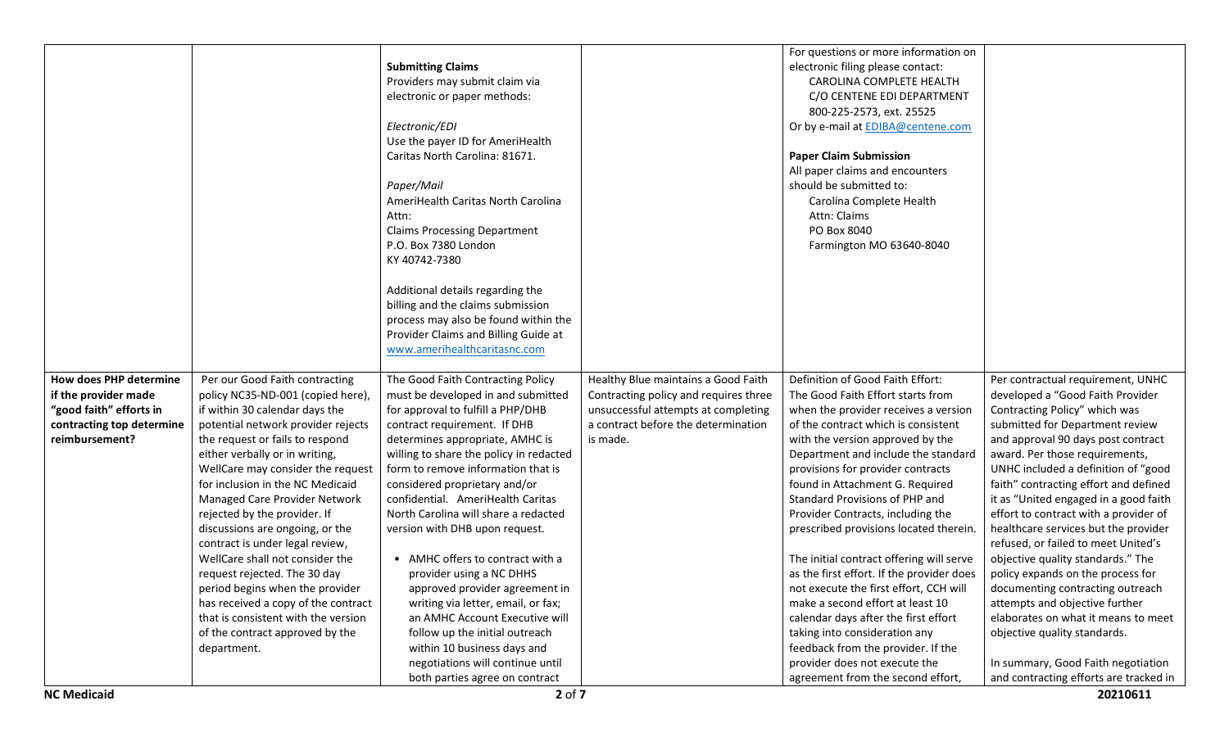|                           |                                     | <b>Submitting Claims</b>                                           |                                       | For questions or more information on<br>electronic filing please contact: |                                                                              |
|---------------------------|-------------------------------------|--------------------------------------------------------------------|---------------------------------------|---------------------------------------------------------------------------|------------------------------------------------------------------------------|
|                           |                                     | Providers may submit claim via                                     |                                       | CAROLINA COMPLETE HEALTH                                                  |                                                                              |
|                           |                                     | electronic or paper methods:                                       |                                       | C/O CENTENE EDI DEPARTMENT                                                |                                                                              |
|                           |                                     |                                                                    |                                       | 800-225-2573, ext. 25525                                                  |                                                                              |
|                           |                                     | Electronic/EDI                                                     |                                       | Or by e-mail at EDIBA@centene.com                                         |                                                                              |
|                           |                                     | Use the payer ID for AmeriHealth                                   |                                       |                                                                           |                                                                              |
|                           |                                     | Caritas North Carolina: 81671.                                     |                                       | <b>Paper Claim Submission</b>                                             |                                                                              |
|                           |                                     |                                                                    |                                       | All paper claims and encounters                                           |                                                                              |
|                           |                                     | Paper/Mail                                                         |                                       | should be submitted to:                                                   |                                                                              |
|                           |                                     | AmeriHealth Caritas North Carolina                                 |                                       | Carolina Complete Health                                                  |                                                                              |
|                           |                                     |                                                                    |                                       |                                                                           |                                                                              |
|                           |                                     | Attn:                                                              |                                       | Attn: Claims                                                              |                                                                              |
|                           |                                     | <b>Claims Processing Department</b>                                |                                       | PO Box 8040                                                               |                                                                              |
|                           |                                     | P.O. Box 7380 London                                               |                                       | Farmington MO 63640-8040                                                  |                                                                              |
|                           |                                     | KY 40742-7380                                                      |                                       |                                                                           |                                                                              |
|                           |                                     |                                                                    |                                       |                                                                           |                                                                              |
|                           |                                     | Additional details regarding the                                   |                                       |                                                                           |                                                                              |
|                           |                                     | billing and the claims submission                                  |                                       |                                                                           |                                                                              |
|                           |                                     | process may also be found within the                               |                                       |                                                                           |                                                                              |
|                           |                                     | Provider Claims and Billing Guide at                               |                                       |                                                                           |                                                                              |
|                           |                                     | www.amerihealthcaritasnc.com                                       |                                       |                                                                           |                                                                              |
| How does PHP determine    | Per our Good Faith contracting      | The Good Faith Contracting Policy                                  | Healthy Blue maintains a Good Faith   | Definition of Good Faith Effort:                                          | Per contractual requirement, UNHC                                            |
| if the provider made      | policy NC35-ND-001 (copied here),   | must be developed in and submitted                                 | Contracting policy and requires three | The Good Faith Effort starts from                                         | developed a "Good Faith Provider                                             |
| "good faith" efforts in   | if within 30 calendar days the      | for approval to fulfill a PHP/DHB                                  | unsuccessful attempts at completing   | when the provider receives a version                                      | Contracting Policy" which was                                                |
| contracting top determine | potential network provider rejects  | contract requirement. If DHB                                       | a contract before the determination   | of the contract which is consistent                                       | submitted for Department review                                              |
| reimbursement?            | the request or fails to respond     | determines appropriate, AMHC is                                    | is made.                              | with the version approved by the                                          | and approval 90 days post contract                                           |
|                           | either verbally or in writing,      |                                                                    |                                       |                                                                           |                                                                              |
|                           |                                     |                                                                    |                                       |                                                                           |                                                                              |
|                           |                                     | willing to share the policy in redacted                            |                                       | Department and include the standard                                       | award. Per those requirements,                                               |
|                           | WellCare may consider the request   | form to remove information that is                                 |                                       | provisions for provider contracts                                         | UNHC included a definition of "good                                          |
|                           | for inclusion in the NC Medicaid    | considered proprietary and/or                                      |                                       | found in Attachment G. Required                                           | faith" contracting effort and defined                                        |
|                           | Managed Care Provider Network       | confidential. AmeriHealth Caritas                                  |                                       | Standard Provisions of PHP and                                            | it as "United engaged in a good faith                                        |
|                           | rejected by the provider. If        | North Carolina will share a redacted                               |                                       | Provider Contracts, including the                                         | effort to contract with a provider of                                        |
|                           | discussions are ongoing, or the     | version with DHB upon request.                                     |                                       | prescribed provisions located therein.                                    | healthcare services but the provider                                         |
|                           | contract is under legal review,     |                                                                    |                                       |                                                                           | refused, or failed to meet United's                                          |
|                           | WellCare shall not consider the     | • AMHC offers to contract with a                                   |                                       | The initial contract offering will serve                                  | objective quality standards." The                                            |
|                           | request rejected. The 30 day        | provider using a NC DHHS                                           |                                       | as the first effort. If the provider does                                 | policy expands on the process for                                            |
|                           | period begins when the provider     | approved provider agreement in                                     |                                       | not execute the first effort, CCH will                                    | documenting contracting outreach                                             |
|                           | has received a copy of the contract | writing via letter, email, or fax;                                 |                                       | make a second effort at least 10                                          | attempts and objective further                                               |
|                           | that is consistent with the version | an AMHC Account Executive will                                     |                                       | calendar days after the first effort                                      | elaborates on what it means to meet                                          |
|                           | of the contract approved by the     | follow up the initial outreach                                     |                                       | taking into consideration any                                             | objective quality standards.                                                 |
|                           | department.                         | within 10 business days and                                        |                                       | feedback from the provider. If the                                        |                                                                              |
|                           |                                     | negotiations will continue until<br>both parties agree on contract |                                       | provider does not execute the<br>agreement from the second effort,        | In summary, Good Faith negotiation<br>and contracting efforts are tracked in |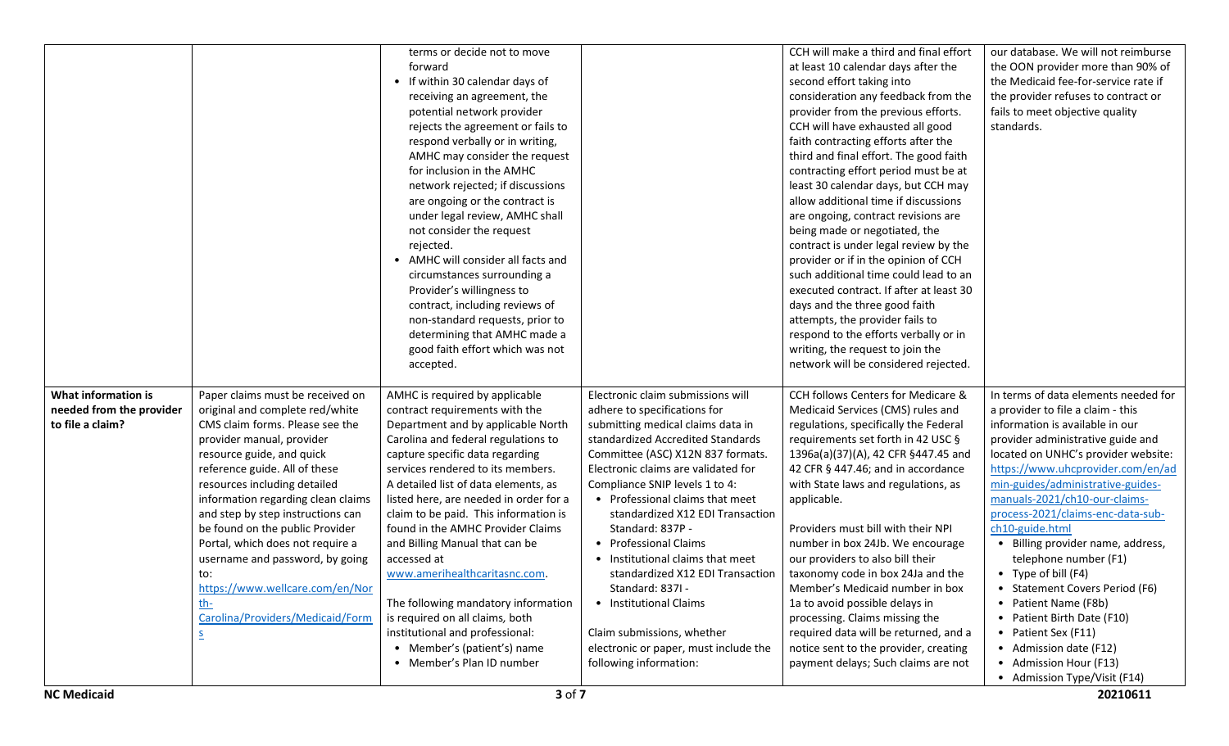|                          |                                        | terms or decide not to move                              |                                       | CCH will make a third and final effort  | our database. We will not reimburse  |
|--------------------------|----------------------------------------|----------------------------------------------------------|---------------------------------------|-----------------------------------------|--------------------------------------|
|                          |                                        | forward                                                  |                                       | at least 10 calendar days after the     | the OON provider more than 90% of    |
|                          |                                        | • If within 30 calendar days of                          |                                       | second effort taking into               | the Medicaid fee-for-service rate if |
|                          |                                        | receiving an agreement, the                              |                                       | consideration any feedback from the     | the provider refuses to contract or  |
|                          |                                        | potential network provider                               |                                       | provider from the previous efforts.     | fails to meet objective quality      |
|                          |                                        | rejects the agreement or fails to                        |                                       | CCH will have exhausted all good        | standards.                           |
|                          |                                        | respond verbally or in writing,                          |                                       | faith contracting efforts after the     |                                      |
|                          |                                        | AMHC may consider the request                            |                                       | third and final effort. The good faith  |                                      |
|                          |                                        | for inclusion in the AMHC                                |                                       | contracting effort period must be at    |                                      |
|                          |                                        | network rejected; if discussions                         |                                       | least 30 calendar days, but CCH may     |                                      |
|                          |                                        | are ongoing or the contract is                           |                                       | allow additional time if discussions    |                                      |
|                          |                                        | under legal review, AMHC shall                           |                                       | are ongoing, contract revisions are     |                                      |
|                          |                                        | not consider the request                                 |                                       | being made or negotiated, the           |                                      |
|                          |                                        | rejected.                                                |                                       | contract is under legal review by the   |                                      |
|                          |                                        | • AMHC will consider all facts and                       |                                       | provider or if in the opinion of CCH    |                                      |
|                          |                                        | circumstances surrounding a                              |                                       | such additional time could lead to an   |                                      |
|                          |                                        | Provider's willingness to                                |                                       | executed contract. If after at least 30 |                                      |
|                          |                                        | contract, including reviews of                           |                                       | days and the three good faith           |                                      |
|                          |                                        | non-standard requests, prior to                          |                                       | attempts, the provider fails to         |                                      |
|                          |                                        | determining that AMHC made a                             |                                       | respond to the efforts verbally or in   |                                      |
|                          |                                        | good faith effort which was not                          |                                       | writing, the request to join the        |                                      |
|                          |                                        | accepted.                                                |                                       | network will be considered rejected.    |                                      |
|                          |                                        |                                                          |                                       |                                         |                                      |
| What information is      | Paper claims must be received on       | AMHC is required by applicable                           | Electronic claim submissions will     | CCH follows Centers for Medicare &      | In terms of data elements needed for |
| needed from the provider | original and complete red/white        | contract requirements with the                           | adhere to specifications for          | Medicaid Services (CMS) rules and       | a provider to file a claim - this    |
| to file a claim?         | CMS claim forms. Please see the        | Department and by applicable North                       | submitting medical claims data in     | regulations, specifically the Federal   | information is available in our      |
|                          | provider manual, provider              | Carolina and federal regulations to                      | standardized Accredited Standards     | requirements set forth in 42 USC §      | provider administrative guide and    |
|                          | resource guide, and quick              | capture specific data regarding                          | Committee (ASC) X12N 837 formats.     | 1396a(a)(37)(A), 42 CFR §447.45 and     | located on UNHC's provider website:  |
|                          | reference guide. All of these          | services rendered to its members.                        | Electronic claims are validated for   | 42 CFR § 447.46; and in accordance      | https://www.uhcprovider.com/en/ad    |
|                          | resources including detailed           | A detailed list of data elements, as                     | Compliance SNIP levels 1 to 4:        | with State laws and regulations, as     | min-guides/administrative-guides-    |
|                          | information regarding clean claims     | listed here, are needed in order for a                   | • Professional claims that meet       | applicable.                             | manuals-2021/ch10-our-claims-        |
|                          | and step by step instructions can      | claim to be paid. This information is                    | standardized X12 EDI Transaction      |                                         | process-2021/claims-enc-data-sub-    |
|                          | be found on the public Provider        | found in the AMHC Provider Claims                        | Standard: 837P -                      | Providers must bill with their NPI      | ch10-guide.html                      |
|                          | Portal, which does not require a       | and Billing Manual that can be                           | • Professional Claims                 | number in box 24Jb. We encourage        | • Billing provider name, address,    |
|                          | username and password, by going        | accessed at                                              | • Institutional claims that meet      | our providers to also bill their        | telephone number (F1)                |
|                          |                                        | www.amerihealthcaritasnc.com.                            | standardized X12 EDI Transaction      | taxonomy code in box 24Ja and the       | • Type of bill $(F4)$                |
|                          | to:<br>https://www.wellcare.com/en/Nor |                                                          | Standard: 837I -                      | Member's Medicaid number in box         | • Statement Covers Period (F6)       |
|                          | th-                                    | The following mandatory information                      | • Institutional Claims                | 1a to avoid possible delays in          | • Patient Name (F8b)                 |
|                          | Carolina/Providers/Medicaid/Form       | is required on all claims, both                          |                                       | processing. Claims missing the          | • Patient Birth Date (F10)           |
|                          |                                        | institutional and professional:                          | Claim submissions, whether            | required data will be returned, and a   |                                      |
|                          | <u>s</u>                               |                                                          | electronic or paper, must include the |                                         | • Patient Sex (F11)                  |
|                          |                                        | • Member's (patient's) name<br>• Member's Plan ID number |                                       | notice sent to the provider, creating   | • Admission date (F12)               |
|                          |                                        |                                                          | following information:                | payment delays; Such claims are not     | • Admission Hour (F13)               |
|                          |                                        |                                                          |                                       |                                         | • Admission Type/Visit (F14)         |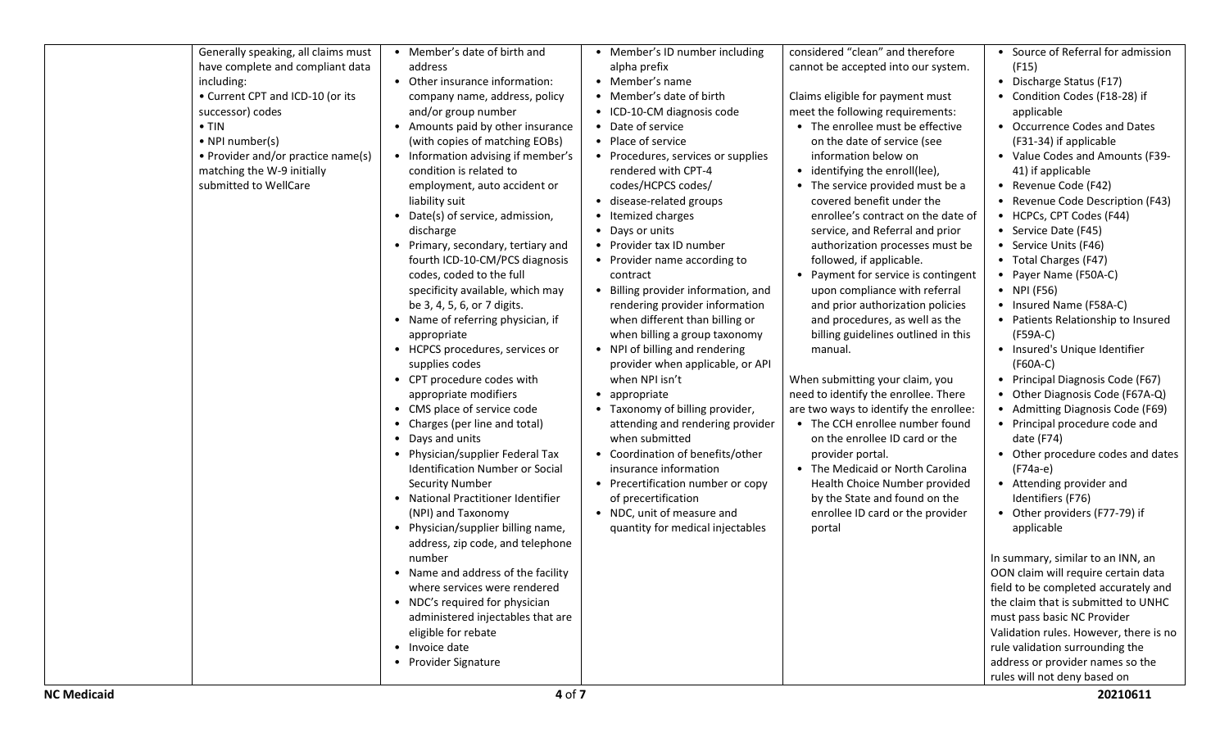| Generally speaking, all claims must<br>have complete and compliant data<br>including:<br>• Current CPT and ICD-10 (or its<br>successor) codes<br>$\bullet$ TIN<br>• NPI number(s)<br>• Provider and/or practice name(s)<br>matching the W-9 initially<br>submitted to WellCare | • Member's date of birth and<br>address<br>• Other insurance information:<br>company name, address, policy<br>and/or group number<br>• Amounts paid by other insurance<br>(with copies of matching EOBs)<br>• Information advising if member's<br>condition is related to<br>employment, auto accident or<br>liability suit<br>• Date(s) of service, admission,<br>discharge<br>• Primary, secondary, tertiary and<br>fourth ICD-10-CM/PCS diagnosis<br>codes, coded to the full<br>specificity available, which may<br>be 3, 4, 5, 6, or 7 digits.<br>• Name of referring physician, if<br>appropriate<br>• HCPCS procedures, services or<br>supplies codes<br>• CPT procedure codes with<br>appropriate modifiers<br>• CMS place of service code<br>Charges (per line and total)<br>• Days and units<br>• Physician/supplier Federal Tax<br>Identification Number or Social<br><b>Security Number</b><br>• National Practitioner Identifier<br>(NPI) and Taxonomy<br>• Physician/supplier billing name,<br>address, zip code, and telephone<br>number<br>• Name and address of the facility<br>where services were rendered<br>• NDC's required for physician<br>administered injectables that are<br>eligible for rebate<br>• Invoice date<br>• Provider Signature | • Member's ID number including<br>alpha prefix<br>• Member's name<br>• Member's date of birth<br>• ICD-10-CM diagnosis code<br>• Date of service<br>• Place of service<br>• Procedures, services or supplies<br>rendered with CPT-4<br>codes/HCPCS codes/<br>• disease-related groups<br>• Itemized charges<br>• Days or units<br>• Provider tax ID number<br>• Provider name according to<br>contract<br>• Billing provider information, and<br>rendering provider information<br>when different than billing or<br>when billing a group taxonomy<br>• NPI of billing and rendering<br>provider when applicable, or API<br>when NPI isn't<br>• appropriate<br>• Taxonomy of billing provider,<br>attending and rendering provider<br>when submitted<br>• Coordination of benefits/other<br>insurance information<br>• Precertification number or copy<br>of precertification<br>• NDC, unit of measure and<br>quantity for medical injectables | considered "clean" and therefore<br>cannot be accepted into our system.<br>Claims eligible for payment must<br>meet the following requirements:<br>• The enrollee must be effective<br>on the date of service (see<br>information below on<br>• identifying the enroll(lee),<br>• The service provided must be a<br>covered benefit under the<br>enrollee's contract on the date of<br>service, and Referral and prior<br>authorization processes must be<br>followed, if applicable.<br>Payment for service is contingent<br>$\bullet$<br>upon compliance with referral<br>and prior authorization policies<br>and procedures, as well as the<br>billing guidelines outlined in this<br>manual.<br>When submitting your claim, you<br>need to identify the enrollee. There<br>are two ways to identify the enrollee:<br>• The CCH enrollee number found<br>on the enrollee ID card or the<br>provider portal.<br>• The Medicaid or North Carolina<br>Health Choice Number provided<br>by the State and found on the<br>enrollee ID card or the provider<br>portal | • Source of Referral for admission<br>(F15)<br>• Discharge Status (F17)<br>• Condition Codes (F18-28) if<br>applicable<br>• Occurrence Codes and Dates<br>(F31-34) if applicable<br>• Value Codes and Amounts (F39-<br>41) if applicable<br>• Revenue Code (F42)<br>• Revenue Code Description (F43)<br>• HCPCs, CPT Codes (F44)<br>• Service Date (F45)<br>• Service Units (F46)<br>• Total Charges (F47)<br>• Payer Name (F50A-C)<br>• NPI (F56)<br>• Insured Name (F58A-C)<br>• Patients Relationship to Insured<br>(F59A-C)<br>• Insured's Unique Identifier<br>(F60A-C)<br>• Principal Diagnosis Code (F67)<br>• Other Diagnosis Code (F67A-Q)<br>• Admitting Diagnosis Code (F69)<br>• Principal procedure code and<br>date (F74)<br>• Other procedure codes and dates<br>(F74a-e)<br>• Attending provider and<br>Identifiers (F76)<br>• Other providers (F77-79) if<br>applicable<br>In summary, similar to an INN, an<br>OON claim will require certain data<br>field to be completed accurately and<br>the claim that is submitted to UNHC<br>must pass basic NC Provider<br>Validation rules. However, there is no<br>rule validation surrounding the<br>address or provider names so the<br>rules will not deny based on |
|--------------------------------------------------------------------------------------------------------------------------------------------------------------------------------------------------------------------------------------------------------------------------------|-----------------------------------------------------------------------------------------------------------------------------------------------------------------------------------------------------------------------------------------------------------------------------------------------------------------------------------------------------------------------------------------------------------------------------------------------------------------------------------------------------------------------------------------------------------------------------------------------------------------------------------------------------------------------------------------------------------------------------------------------------------------------------------------------------------------------------------------------------------------------------------------------------------------------------------------------------------------------------------------------------------------------------------------------------------------------------------------------------------------------------------------------------------------------------------------------------------------------------------------------------------------------|-------------------------------------------------------------------------------------------------------------------------------------------------------------------------------------------------------------------------------------------------------------------------------------------------------------------------------------------------------------------------------------------------------------------------------------------------------------------------------------------------------------------------------------------------------------------------------------------------------------------------------------------------------------------------------------------------------------------------------------------------------------------------------------------------------------------------------------------------------------------------------------------------------------------------------------------------|--------------------------------------------------------------------------------------------------------------------------------------------------------------------------------------------------------------------------------------------------------------------------------------------------------------------------------------------------------------------------------------------------------------------------------------------------------------------------------------------------------------------------------------------------------------------------------------------------------------------------------------------------------------------------------------------------------------------------------------------------------------------------------------------------------------------------------------------------------------------------------------------------------------------------------------------------------------------------------------------------------------------------------------------------------------------|-------------------------------------------------------------------------------------------------------------------------------------------------------------------------------------------------------------------------------------------------------------------------------------------------------------------------------------------------------------------------------------------------------------------------------------------------------------------------------------------------------------------------------------------------------------------------------------------------------------------------------------------------------------------------------------------------------------------------------------------------------------------------------------------------------------------------------------------------------------------------------------------------------------------------------------------------------------------------------------------------------------------------------------------------------------------------------------------------------------------------------------------------------------------------------------------------------------------------------------|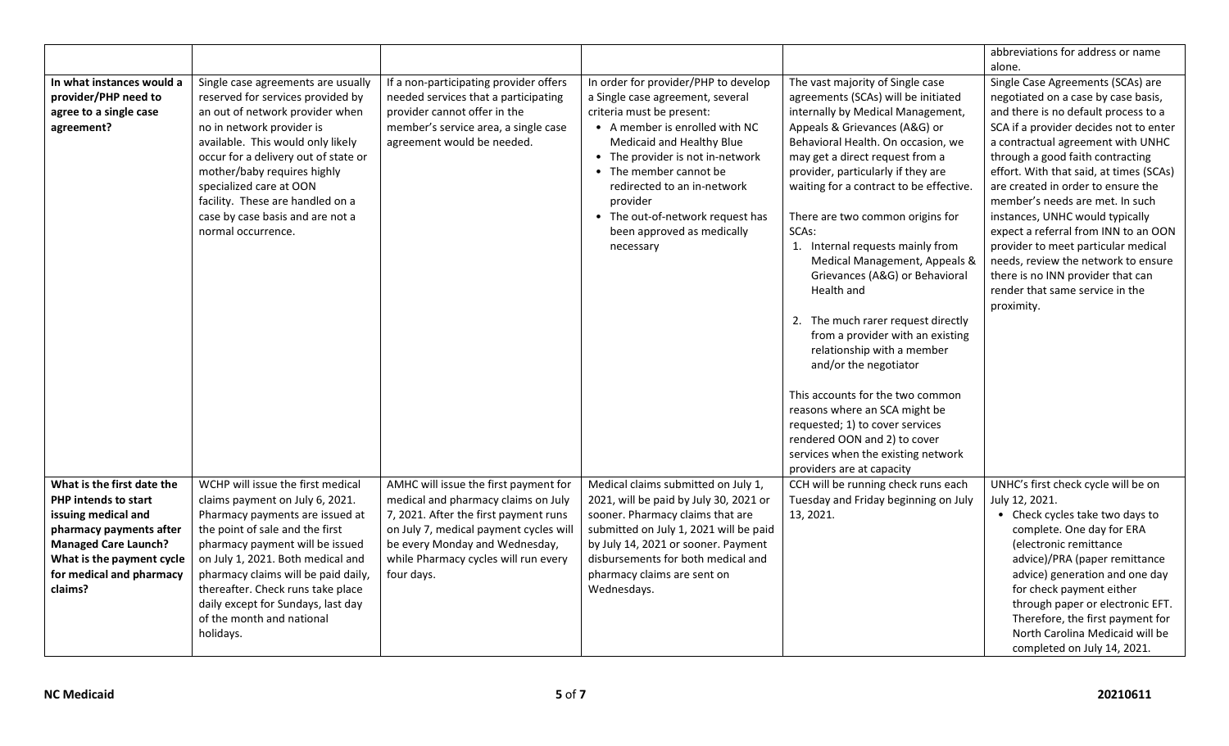|                                                                                                                                                                                                                |                                                                                                                                                                                                                                                                                                                                                                                |                                                                                                                                                                                                                                                         |                                                                                                                                                                                                                                                                                                                                                              |                                                                                                                                                                                                                                                                                                                                                                                                                                                                                                                                                                                                                                                                                                                                                                                          | abbreviations for address or name                                                                                                                                                                                                                                                                                                                                                                                                                                                                                                                                                                      |
|----------------------------------------------------------------------------------------------------------------------------------------------------------------------------------------------------------------|--------------------------------------------------------------------------------------------------------------------------------------------------------------------------------------------------------------------------------------------------------------------------------------------------------------------------------------------------------------------------------|---------------------------------------------------------------------------------------------------------------------------------------------------------------------------------------------------------------------------------------------------------|--------------------------------------------------------------------------------------------------------------------------------------------------------------------------------------------------------------------------------------------------------------------------------------------------------------------------------------------------------------|------------------------------------------------------------------------------------------------------------------------------------------------------------------------------------------------------------------------------------------------------------------------------------------------------------------------------------------------------------------------------------------------------------------------------------------------------------------------------------------------------------------------------------------------------------------------------------------------------------------------------------------------------------------------------------------------------------------------------------------------------------------------------------------|--------------------------------------------------------------------------------------------------------------------------------------------------------------------------------------------------------------------------------------------------------------------------------------------------------------------------------------------------------------------------------------------------------------------------------------------------------------------------------------------------------------------------------------------------------------------------------------------------------|
|                                                                                                                                                                                                                |                                                                                                                                                                                                                                                                                                                                                                                |                                                                                                                                                                                                                                                         |                                                                                                                                                                                                                                                                                                                                                              |                                                                                                                                                                                                                                                                                                                                                                                                                                                                                                                                                                                                                                                                                                                                                                                          | alone.                                                                                                                                                                                                                                                                                                                                                                                                                                                                                                                                                                                                 |
| In what instances would a<br>provider/PHP need to<br>agree to a single case<br>agreement?                                                                                                                      | Single case agreements are usually<br>reserved for services provided by<br>an out of network provider when<br>no in network provider is<br>available. This would only likely<br>occur for a delivery out of state or<br>mother/baby requires highly<br>specialized care at OON<br>facility. These are handled on a<br>case by case basis and are not a<br>normal occurrence.   | If a non-participating provider offers<br>needed services that a participating<br>provider cannot offer in the<br>member's service area, a single case<br>agreement would be needed.                                                                    | In order for provider/PHP to develop<br>a Single case agreement, several<br>criteria must be present:<br>• A member is enrolled with NC<br>Medicaid and Healthy Blue<br>• The provider is not in-network<br>• The member cannot be<br>redirected to an in-network<br>provider<br>• The out-of-network request has<br>been approved as medically<br>necessary | The vast majority of Single case<br>agreements (SCAs) will be initiated<br>internally by Medical Management,<br>Appeals & Grievances (A&G) or<br>Behavioral Health. On occasion, we<br>may get a direct request from a<br>provider, particularly if they are<br>waiting for a contract to be effective.<br>There are two common origins for<br>SCAs:<br>1. Internal requests mainly from<br>Medical Management, Appeals &<br>Grievances (A&G) or Behavioral<br>Health and<br>2. The much rarer request directly<br>from a provider with an existing<br>relationship with a member<br>and/or the negotiator<br>This accounts for the two common<br>reasons where an SCA might be<br>requested; 1) to cover services<br>rendered OON and 2) to cover<br>services when the existing network | Single Case Agreements (SCAs) are<br>negotiated on a case by case basis,<br>and there is no default process to a<br>SCA if a provider decides not to enter<br>a contractual agreement with UNHC<br>through a good faith contracting<br>effort. With that said, at times (SCAs)<br>are created in order to ensure the<br>member's needs are met. In such<br>instances, UNHC would typically<br>expect a referral from INN to an OON<br>provider to meet particular medical<br>needs, review the network to ensure<br>there is no INN provider that can<br>render that same service in the<br>proximity. |
| What is the first date the<br><b>PHP intends to start</b><br>issuing medical and<br>pharmacy payments after<br><b>Managed Care Launch?</b><br>What is the payment cycle<br>for medical and pharmacy<br>claims? | WCHP will issue the first medical<br>claims payment on July 6, 2021.<br>Pharmacy payments are issued at<br>the point of sale and the first<br>pharmacy payment will be issued<br>on July 1, 2021. Both medical and<br>pharmacy claims will be paid daily,<br>thereafter. Check runs take place<br>daily except for Sundays, last day<br>of the month and national<br>holidays. | AMHC will issue the first payment for<br>medical and pharmacy claims on July<br>7, 2021. After the first payment runs<br>on July 7, medical payment cycles will<br>be every Monday and Wednesday,<br>while Pharmacy cycles will run every<br>four days. | Medical claims submitted on July 1,<br>2021, will be paid by July 30, 2021 or<br>sooner. Pharmacy claims that are<br>submitted on July 1, 2021 will be paid<br>by July 14, 2021 or sooner. Payment<br>disbursements for both medical and<br>pharmacy claims are sent on<br>Wednesdays.                                                                       | providers are at capacity<br>CCH will be running check runs each<br>Tuesday and Friday beginning on July<br>13, 2021.                                                                                                                                                                                                                                                                                                                                                                                                                                                                                                                                                                                                                                                                    | UNHC's first check cycle will be on<br>July 12, 2021.<br>• Check cycles take two days to<br>complete. One day for ERA<br>(electronic remittance<br>advice)/PRA (paper remittance<br>advice) generation and one day<br>for check payment either<br>through paper or electronic EFT.<br>Therefore, the first payment for<br>North Carolina Medicaid will be<br>completed on July 14, 2021.                                                                                                                                                                                                               |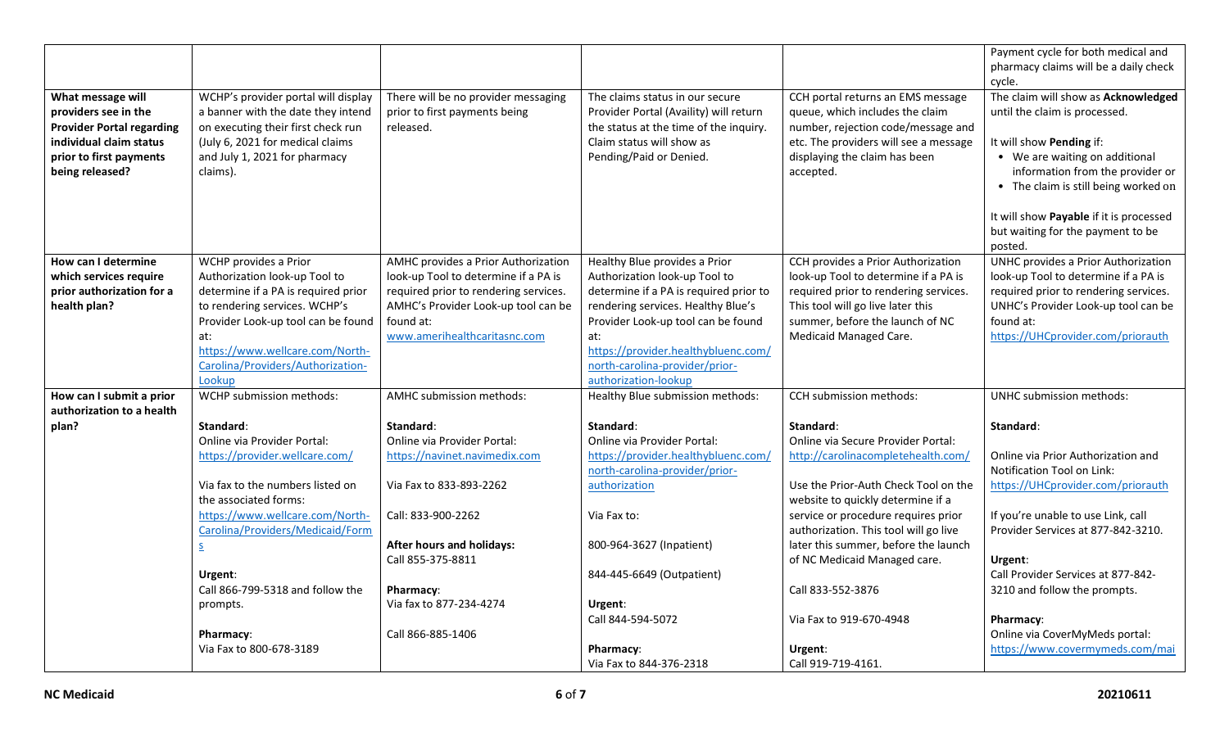|                                                                                                                                                        |                                                                                                                                                                                                  |                                                                                   |                                                                                                                                                                             |                                                                                                                                                                                                   | Payment cycle for both medical and                                                                                                                                                                             |
|--------------------------------------------------------------------------------------------------------------------------------------------------------|--------------------------------------------------------------------------------------------------------------------------------------------------------------------------------------------------|-----------------------------------------------------------------------------------|-----------------------------------------------------------------------------------------------------------------------------------------------------------------------------|---------------------------------------------------------------------------------------------------------------------------------------------------------------------------------------------------|----------------------------------------------------------------------------------------------------------------------------------------------------------------------------------------------------------------|
|                                                                                                                                                        |                                                                                                                                                                                                  |                                                                                   |                                                                                                                                                                             |                                                                                                                                                                                                   | pharmacy claims will be a daily check                                                                                                                                                                          |
|                                                                                                                                                        |                                                                                                                                                                                                  |                                                                                   |                                                                                                                                                                             |                                                                                                                                                                                                   | cycle.                                                                                                                                                                                                         |
| What message will<br>providers see in the<br><b>Provider Portal regarding</b><br>individual claim status<br>prior to first payments<br>being released? | WCHP's provider portal will display<br>a banner with the date they intend<br>on executing their first check run<br>(July 6, 2021 for medical claims<br>and July 1, 2021 for pharmacy<br>claims). | There will be no provider messaging<br>prior to first payments being<br>released. | The claims status in our secure<br>Provider Portal (Availity) will return<br>the status at the time of the inquiry.<br>Claim status will show as<br>Pending/Paid or Denied. | CCH portal returns an EMS message<br>queue, which includes the claim<br>number, rejection code/message and<br>etc. The providers will see a message<br>displaying the claim has been<br>accepted. | The claim will show as Acknowledged<br>until the claim is processed.<br>It will show Pending if:<br>• We are waiting on additional<br>information from the provider or<br>• The claim is still being worked on |
|                                                                                                                                                        |                                                                                                                                                                                                  |                                                                                   |                                                                                                                                                                             |                                                                                                                                                                                                   | It will show Payable if it is processed<br>but waiting for the payment to be<br>posted.                                                                                                                        |
| How can I determine                                                                                                                                    | WCHP provides a Prior                                                                                                                                                                            | AMHC provides a Prior Authorization                                               | Healthy Blue provides a Prior                                                                                                                                               | CCH provides a Prior Authorization                                                                                                                                                                | <b>UNHC provides a Prior Authorization</b>                                                                                                                                                                     |
| which services require                                                                                                                                 | Authorization look-up Tool to                                                                                                                                                                    | look-up Tool to determine if a PA is                                              | Authorization look-up Tool to                                                                                                                                               | look-up Tool to determine if a PA is                                                                                                                                                              | look-up Tool to determine if a PA is                                                                                                                                                                           |
| prior authorization for a                                                                                                                              | determine if a PA is required prior                                                                                                                                                              | required prior to rendering services.                                             | determine if a PA is required prior to                                                                                                                                      | required prior to rendering services.                                                                                                                                                             | required prior to rendering services.                                                                                                                                                                          |
| health plan?                                                                                                                                           | to rendering services. WCHP's                                                                                                                                                                    | AMHC's Provider Look-up tool can be                                               | rendering services. Healthy Blue's                                                                                                                                          | This tool will go live later this                                                                                                                                                                 | UNHC's Provider Look-up tool can be                                                                                                                                                                            |
|                                                                                                                                                        | Provider Look-up tool can be found                                                                                                                                                               | found at:                                                                         | Provider Look-up tool can be found                                                                                                                                          | summer, before the launch of NC                                                                                                                                                                   | found at:                                                                                                                                                                                                      |
|                                                                                                                                                        | at:                                                                                                                                                                                              | www.amerihealthcaritasnc.com                                                      | at:                                                                                                                                                                         | Medicaid Managed Care.                                                                                                                                                                            | https://UHCprovider.com/priorauth                                                                                                                                                                              |
|                                                                                                                                                        | https://www.wellcare.com/North-                                                                                                                                                                  |                                                                                   | https://provider.healthybluenc.com/                                                                                                                                         |                                                                                                                                                                                                   |                                                                                                                                                                                                                |
|                                                                                                                                                        | Carolina/Providers/Authorization-                                                                                                                                                                |                                                                                   | north-carolina-provider/prior-<br>authorization-lookup                                                                                                                      |                                                                                                                                                                                                   |                                                                                                                                                                                                                |
| How can I submit a prior                                                                                                                               | Lookup<br>WCHP submission methods:                                                                                                                                                               | AMHC submission methods:                                                          | Healthy Blue submission methods:                                                                                                                                            | <b>CCH</b> submission methods:                                                                                                                                                                    | UNHC submission methods:                                                                                                                                                                                       |
| authorization to a health                                                                                                                              |                                                                                                                                                                                                  |                                                                                   |                                                                                                                                                                             |                                                                                                                                                                                                   |                                                                                                                                                                                                                |
| plan?                                                                                                                                                  | Standard:                                                                                                                                                                                        | Standard:                                                                         | Standard:                                                                                                                                                                   | Standard:                                                                                                                                                                                         | Standard:                                                                                                                                                                                                      |
|                                                                                                                                                        | Online via Provider Portal:                                                                                                                                                                      | Online via Provider Portal:                                                       | Online via Provider Portal:                                                                                                                                                 | Online via Secure Provider Portal:                                                                                                                                                                |                                                                                                                                                                                                                |
|                                                                                                                                                        | https://provider.wellcare.com/                                                                                                                                                                   | https://navinet.navimedix.com                                                     | https://provider.healthybluenc.com/                                                                                                                                         | http://carolinacompletehealth.com/                                                                                                                                                                | Online via Prior Authorization and                                                                                                                                                                             |
|                                                                                                                                                        |                                                                                                                                                                                                  |                                                                                   | north-carolina-provider/prior-                                                                                                                                              |                                                                                                                                                                                                   | Notification Tool on Link:                                                                                                                                                                                     |
|                                                                                                                                                        | Via fax to the numbers listed on                                                                                                                                                                 | Via Fax to 833-893-2262                                                           | authorization                                                                                                                                                               | Use the Prior-Auth Check Tool on the                                                                                                                                                              | https://UHCprovider.com/priorauth                                                                                                                                                                              |
|                                                                                                                                                        | the associated forms:                                                                                                                                                                            |                                                                                   |                                                                                                                                                                             | website to quickly determine if a                                                                                                                                                                 |                                                                                                                                                                                                                |
|                                                                                                                                                        | https://www.wellcare.com/North-                                                                                                                                                                  | Call: 833-900-2262                                                                | Via Fax to:                                                                                                                                                                 | service or procedure requires prior                                                                                                                                                               | If you're unable to use Link, call                                                                                                                                                                             |
|                                                                                                                                                        | Carolina/Providers/Medicaid/Form                                                                                                                                                                 |                                                                                   |                                                                                                                                                                             | authorization. This tool will go live                                                                                                                                                             | Provider Services at 877-842-3210.                                                                                                                                                                             |
|                                                                                                                                                        | $\overline{\mathsf{S}}$                                                                                                                                                                          | After hours and holidays:                                                         | 800-964-3627 (Inpatient)                                                                                                                                                    | later this summer, before the launch                                                                                                                                                              |                                                                                                                                                                                                                |
|                                                                                                                                                        |                                                                                                                                                                                                  | Call 855-375-8811                                                                 |                                                                                                                                                                             | of NC Medicaid Managed care.                                                                                                                                                                      | Urgent:                                                                                                                                                                                                        |
|                                                                                                                                                        | Urgent:                                                                                                                                                                                          |                                                                                   | 844-445-6649 (Outpatient)                                                                                                                                                   |                                                                                                                                                                                                   | Call Provider Services at 877-842-                                                                                                                                                                             |
|                                                                                                                                                        | Call 866-799-5318 and follow the                                                                                                                                                                 | Pharmacy:                                                                         |                                                                                                                                                                             | Call 833-552-3876                                                                                                                                                                                 | 3210 and follow the prompts.                                                                                                                                                                                   |
|                                                                                                                                                        | prompts.                                                                                                                                                                                         | Via fax to 877-234-4274                                                           | Urgent:                                                                                                                                                                     |                                                                                                                                                                                                   |                                                                                                                                                                                                                |
|                                                                                                                                                        |                                                                                                                                                                                                  |                                                                                   | Call 844-594-5072                                                                                                                                                           | Via Fax to 919-670-4948                                                                                                                                                                           | Pharmacy:                                                                                                                                                                                                      |
|                                                                                                                                                        | Pharmacy:                                                                                                                                                                                        | Call 866-885-1406                                                                 |                                                                                                                                                                             |                                                                                                                                                                                                   | Online via CoverMyMeds portal:                                                                                                                                                                                 |
|                                                                                                                                                        | Via Fax to 800-678-3189                                                                                                                                                                          |                                                                                   | Pharmacy:                                                                                                                                                                   | Urgent:                                                                                                                                                                                           | https://www.covermymeds.com/mai                                                                                                                                                                                |
|                                                                                                                                                        |                                                                                                                                                                                                  |                                                                                   | Via Fax to 844-376-2318                                                                                                                                                     | Call 919-719-4161.                                                                                                                                                                                |                                                                                                                                                                                                                |